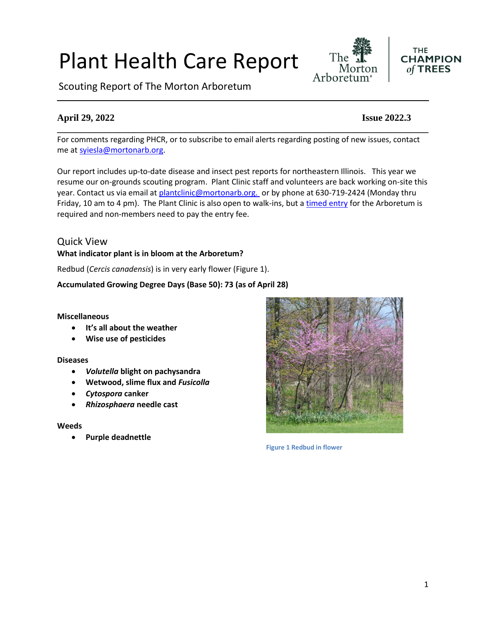# Plant Health Care Report

Scouting Report of The Morton Arboretum

# **April 29, 2022 Issue 2022.3**

For comments regarding PHCR, or to subscribe to email alerts regarding posting of new issues, contact me at [syiesla@mortonarb.org.](mailto:syiesla@mortonarb.org)

**\_\_\_\_\_\_\_\_\_\_\_\_\_\_\_\_\_\_\_\_\_\_\_\_\_\_\_\_\_\_\_\_\_\_\_\_\_\_\_\_\_\_\_\_\_\_\_\_\_\_\_\_\_\_\_\_\_\_\_\_\_\_\_\_\_\_\_\_\_\_\_\_\_\_\_\_\_\_**

Our report includes up-to-date disease and insect pest reports for northeastern Illinois. This year we resume our on-grounds scouting program. Plant Clinic staff and volunteers are back working on-site this year. Contact us via email at [plantclinic@mortonarb.org.](mailto:plantclinic@mortonarb.org) or by phone at 630-719-2424 (Monday thru Friday, 10 am to 4 pm). The Plant Clinic is also open to walk-ins, but a [timed entry](https://mortonarb.org/visit-the-arboretum) for the Arboretum is required and non-members need to pay the entry fee.

### Quick View **What indicator plant is in bloom at the Arboretum?**

Redbud (*Cercis canadensis*) is in very early flower (Figure 1).

### **Accumulated Growing Degree Days (Base 50): 73 (as of April 28)**

#### **Miscellaneous**

- **It's all about the weather**
- **Wise use of pesticides**

#### **Diseases**

- *Volutella* **blight on pachysandra**
- **Wetwood, slime flux and** *Fusicolla*
- *Cytospora* **canker**
- *Rhizosphaera* **needle cast**

#### **Weeds**

• **Purple deadnettle**



**Figure 1 Redbud in flower**



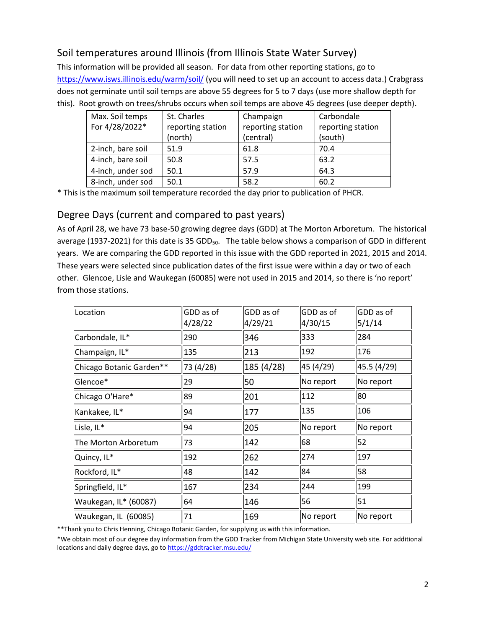# Soil temperatures around Illinois (from Illinois State Water Survey)

This information will be provided all season. For data from other reporting stations, go to <https://www.isws.illinois.edu/warm/soil/> (you will need to set up an account to access data.) Crabgrass does not germinate until soil temps are above 55 degrees for 5 to 7 days (use more shallow depth for this). Root growth on trees/shrubs occurs when soil temps are above 45 degrees (use deeper depth).

| Max. Soil temps   | St. Charles       | Champaign         | Carbondale        |
|-------------------|-------------------|-------------------|-------------------|
| For 4/28/2022*    | reporting station | reporting station | reporting station |
|                   | (north)           | (central)         | (south)           |
| 2-inch, bare soil | 51.9              | 61.8              | 70.4              |
| 4-inch, bare soil | 50.8              | 57.5              | 63.2              |
| 4-inch, under sod | 50.1              | 57.9              | 64.3              |
| 8-inch, under sod | 50.1              | 58.2              | 60.2              |

\* This is the maximum soil temperature recorded the day prior to publication of PHCR.

# Degree Days (current and compared to past years)

As of April 28, we have 73 base-50 growing degree days (GDD) at The Morton Arboretum. The historical average (1937-2021) for this date is 35 GDD<sub>50</sub>. The table below shows a comparison of GDD in different years. We are comparing the GDD reported in this issue with the GDD reported in 2021, 2015 and 2014. These years were selected since publication dates of the first issue were within a day or two of each other. Glencoe, Lisle and Waukegan (60085) were not used in 2015 and 2014, so there is 'no report' from those stations.

| Location                 | GDD as of<br>4/28/22 | GDD as of<br>4/29/21 | GDD as of<br>4/30/15 | GDD as of<br>5/1/14 |
|--------------------------|----------------------|----------------------|----------------------|---------------------|
| Carbondale, IL*          | 290                  | 346                  | 333                  | 284                 |
| Champaign, IL*           | 135                  | 213                  | 192                  | 176                 |
| Chicago Botanic Garden** | 73 (4/28)            | 185 (4/28)           | 45 (4/29)            | 45.5 (4/29)         |
| Glencoe*                 | 29                   | 50                   | No report            | No report           |
| Chicago O'Hare*          | 89                   | 201                  | 112                  | 80                  |
| Kankakee, IL*            | 94                   | 177                  | 135                  | 106                 |
| Lisle, IL*               | 94                   | 205                  | No report            | No report           |
| The Morton Arboretum     | 73                   | 142                  | 68                   | 52                  |
| Quincy, IL*              | 192                  | 262                  | 274                  | 197                 |
| Rockford, IL*            | 48                   | 142                  | 84                   | 58                  |
| Springfield, IL*         | 167                  | 234                  | 244                  | 199                 |
| Waukegan, IL* (60087)    | 64                   | 146                  | 56                   | 51                  |
| Waukegan, IL (60085)     | 71                   | 169                  | No report            | No report           |

\*\*Thank you to Chris Henning, Chicago Botanic Garden, for supplying us with this information.

\*We obtain most of our degree day information from the GDD Tracker from Michigan State University web site. For additional locations and daily degree days, go to <https://gddtracker.msu.edu/>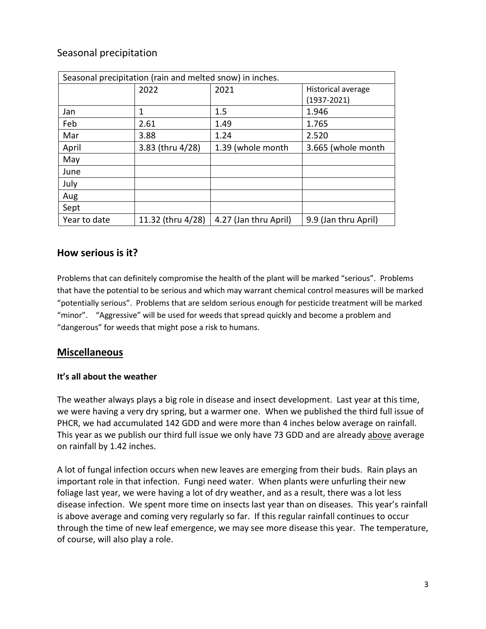# Seasonal precipitation

| Seasonal precipitation (rain and melted snow) in inches. |                   |                       |                      |
|----------------------------------------------------------|-------------------|-----------------------|----------------------|
|                                                          | 2022              | 2021                  | Historical average   |
|                                                          |                   |                       | $(1937 - 2021)$      |
| Jan                                                      | 1                 | 1.5                   | 1.946                |
| Feb                                                      | 2.61              | 1.49                  | 1.765                |
| Mar                                                      | 3.88              | 1.24                  | 2.520                |
| April                                                    | 3.83 (thru 4/28)  | 1.39 (whole month     | 3.665 (whole month   |
| May                                                      |                   |                       |                      |
| June                                                     |                   |                       |                      |
| July                                                     |                   |                       |                      |
| Aug                                                      |                   |                       |                      |
| Sept                                                     |                   |                       |                      |
| Year to date                                             | 11.32 (thru 4/28) | 4.27 (Jan thru April) | 9.9 (Jan thru April) |

# **How serious is it?**

Problems that can definitely compromise the health of the plant will be marked "serious".Problems that have the potential to be serious and which may warrant chemical control measures will be marked "potentially serious". Problems that are seldom serious enough for pesticide treatment will be marked "minor". "Aggressive" will be used for weeds that spread quickly and become a problem and "dangerous" for weeds that might pose a risk to humans.

# **Miscellaneous**

### **It's all about the weather**

The weather always plays a big role in disease and insect development. Last year at this time, we were having a very dry spring, but a warmer one. When we published the third full issue of PHCR, we had accumulated 142 GDD and were more than 4 inches below average on rainfall. This year as we publish our third full issue we only have 73 GDD and are already above average on rainfall by 1.42 inches.

A lot of fungal infection occurs when new leaves are emerging from their buds. Rain plays an important role in that infection. Fungi need water. When plants were unfurling their new foliage last year, we were having a lot of dry weather, and as a result, there was a lot less disease infection. We spent more time on insects last year than on diseases. This year's rainfall is above average and coming very regularly so far. If this regular rainfall continues to occur through the time of new leaf emergence, we may see more disease this year. The temperature, of course, will also play a role.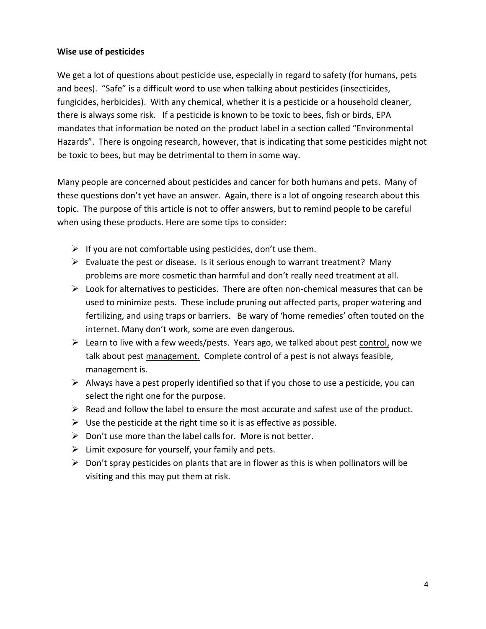#### **Wise use of pesticides**

We get a lot of questions about pesticide use, especially in regard to safety (for humans, pets and bees). "Safe" is a difficult word to use when talking about pesticides (insecticides, fungicides, herbicides). With any chemical, whether it is a pesticide or a household cleaner, there is always some risk. If a pesticide is known to be toxic to bees, fish or birds, EPA mandates that information be noted on the product label in a section called "Environmental Hazards". There is ongoing research, however, that is indicating that some pesticides might not be toxic to bees, but may be detrimental to them in some way.

Many people are concerned about pesticides and cancer for both humans and pets. Many of these questions don't yet have an answer. Again, there is a lot of ongoing research about this topic. The purpose of this article is not to offer answers, but to remind people to be careful when using these products. Here are some tips to consider:

- $\triangleright$  If you are not comfortable using pesticides, don't use them.
- $\triangleright$  Evaluate the pest or disease. Is it serious enough to warrant treatment? Many problems are more cosmetic than harmful and don't really need treatment at all.
- $\triangleright$  Look for alternatives to pesticides. There are often non-chemical measures that can be used to minimize pests. These include pruning out affected parts, proper watering and fertilizing, and using traps or barriers. Be wary of 'home remedies' often touted on the internet. Many don't work, some are even dangerous.
- ➢ Learn to live with a few weeds/pests. Years ago, we talked about pest control, now we talk about pest management. Complete control of a pest is not always feasible, management is.
- $\triangleright$  Always have a pest properly identified so that if you chose to use a pesticide, you can select the right one for the purpose.
- $\triangleright$  Read and follow the label to ensure the most accurate and safest use of the product.
- $\triangleright$  Use the pesticide at the right time so it is as effective as possible.
- $\triangleright$  Don't use more than the label calls for. More is not better.
- $\triangleright$  Limit exposure for yourself, your family and pets.
- $\triangleright$  Don't spray pesticides on plants that are in flower as this is when pollinators will be visiting and this may put them at risk.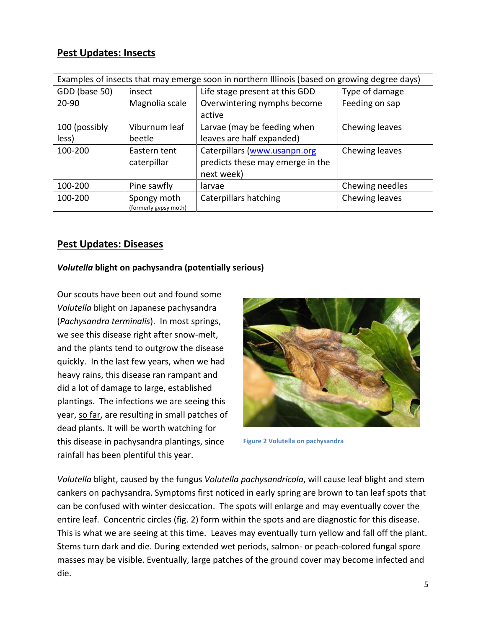# **Pest Updates: Insects**

| Examples of insects that may emerge soon in northern Illinois (based on growing degree days) |                                      |                                  |                 |
|----------------------------------------------------------------------------------------------|--------------------------------------|----------------------------------|-----------------|
| GDD (base 50)                                                                                | insect                               | Life stage present at this GDD   | Type of damage  |
| 20-90                                                                                        | Magnolia scale                       | Overwintering nymphs become      | Feeding on sap  |
|                                                                                              |                                      | active                           |                 |
| 100 (possibly                                                                                | Viburnum leaf                        | Larvae (may be feeding when      | Chewing leaves  |
| less)                                                                                        | beetle                               | leaves are half expanded)        |                 |
| 100-200                                                                                      | Eastern tent                         | Caterpillars (www.usanpn.org     | Chewing leaves  |
|                                                                                              | caterpillar                          | predicts these may emerge in the |                 |
|                                                                                              |                                      | next week)                       |                 |
| 100-200                                                                                      | Pine sawfly                          | larvae                           | Chewing needles |
| 100-200                                                                                      | Spongy moth<br>(formerly gypsy moth) | Caterpillars hatching            | Chewing leaves  |

# **Pest Updates: Diseases**

### *Volutella* **blight on pachysandra (potentially serious)**

Our scouts have been out and found some *Volutella* blight on Japanese pachysandra (*Pachysandra terminalis*). In most springs, we see this disease right after snow-melt, and the plants tend to outgrow the disease quickly. In the last few years, when we had heavy rains, this disease ran rampant and did a lot of damage to large, established plantings. The infections we are seeing this year, so far, are resulting in small patches of dead plants. It will be worth watching for this disease in pachysandra plantings, since rainfall has been plentiful this year.



**Figure 2 Volutella on pachysandra**

*Volutella* blight, caused by the fungus *Volutella pachysandricola*, will cause leaf blight and stem cankers on pachysandra. Symptoms first noticed in early spring are brown to tan leaf spots that can be confused with winter desiccation. The spots will enlarge and may eventually cover the entire leaf. Concentric circles (fig. 2) form within the spots and are diagnostic for this disease. This is what we are seeing at this time. Leaves may eventually turn yellow and fall off the plant. Stems turn dark and die. During extended wet periods, salmon- or peach-colored fungal spore masses may be visible. Eventually, large patches of the ground cover may become infected and die.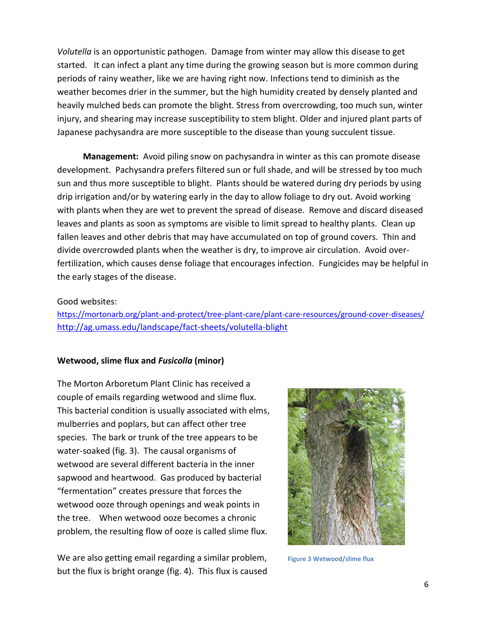*Volutella* is an opportunistic pathogen. Damage from winter may allow this disease to get started. It can infect a plant any time during the growing season but is more common during periods of rainy weather, like we are having right now. Infections tend to diminish as the weather becomes drier in the summer, but the high humidity created by densely planted and heavily mulched beds can promote the blight. Stress from overcrowding, too much sun, winter injury, and shearing may increase susceptibility to stem blight. Older and injured plant parts of Japanese pachysandra are more susceptible to the disease than young succulent tissue.

 **Management:** Avoid piling snow on pachysandra in winter as this can promote disease development. Pachysandra prefers filtered sun or full shade, and will be stressed by too much sun and thus more susceptible to blight. Plants should be watered during dry periods by using drip irrigation and/or by watering early in the day to allow foliage to dry out. Avoid working with plants when they are wet to prevent the spread of disease. Remove and discard diseased leaves and plants as soon as symptoms are visible to limit spread to healthy plants. Clean up fallen leaves and other debris that may have accumulated on top of ground covers. Thin and divide overcrowded plants when the weather is dry, to improve air circulation. Avoid overfertilization, which causes dense foliage that encourages infection. Fungicides may be helpful in the early stages of the disease.

#### Good websites:

<https://mortonarb.org/plant-and-protect/tree-plant-care/plant-care-resources/ground-cover-diseases/> <http://ag.umass.edu/landscape/fact-sheets/volutella-blight>

#### **Wetwood, slime flux and** *Fusicolla* **(minor)**

The Morton Arboretum Plant Clinic has received a couple of emails regarding wetwood and slime flux. This bacterial condition is usually associated with elms, mulberries and poplars, but can affect other tree species. The bark or trunk of the tree appears to be water-soaked (fig. 3). The causal organisms of wetwood are several different bacteria in the inner sapwood and heartwood. Gas produced by bacterial "fermentation" creates pressure that forces the wetwood ooze through openings and weak points in the tree. When wetwood ooze becomes a chronic problem, the resulting flow of ooze is called slime flux.

We are also getting email regarding a similar problem, but the flux is bright orange (fig. 4). This flux is caused



**Figure 3 Wetwood/slime flux**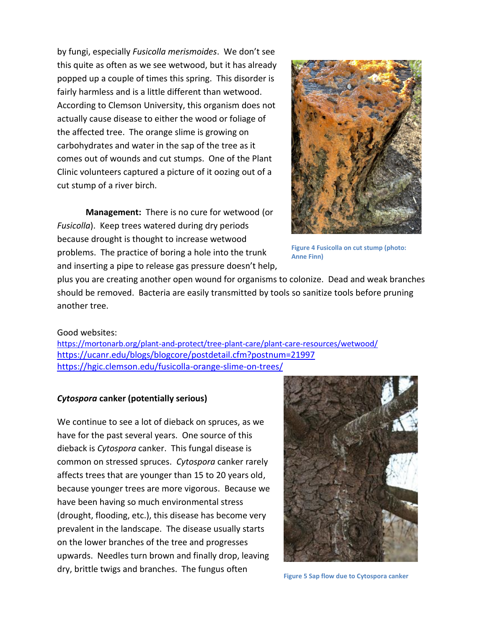by fungi, especially *Fusicolla merismoides*. We don't see this quite as often as we see wetwood, but it has already popped up a couple of times this spring. This disorder is fairly harmless and is a little different than wetwood. According to Clemson University, this organism does not actually cause disease to either the wood or foliage of the affected tree. The orange slime is growing on carbohydrates and water in the sap of the tree as it comes out of wounds and cut stumps. One of the Plant Clinic volunteers captured a picture of it oozing out of a cut stump of a river birch.

**Management:** There is no cure for wetwood (or *Fusicolla*). Keep trees watered during dry periods because drought is thought to increase wetwood problems. The practice of boring a hole into the trunk and inserting a pipe to release gas pressure doesn't help,



**Figure 4 Fusicolla on cut stump (photo: Anne Finn)**

plus you are creating another open wound for organisms to colonize. Dead and weak branches should be removed. Bacteria are easily transmitted by tools so sanitize tools before pruning another tree.

#### Good websites:

<https://mortonarb.org/plant-and-protect/tree-plant-care/plant-care-resources/wetwood/> <https://ucanr.edu/blogs/blogcore/postdetail.cfm?postnum=21997> https://hgic.clemson.edu/fusicolla-orange-slime-on-trees/

#### *Cytospora* **canker (potentially serious)**

We continue to see a lot of dieback on spruces, as we have for the past several years. One source of this dieback is *Cytospora* canker. This fungal disease is common on stressed spruces. *Cytospora* canker rarely affects trees that are younger than 15 to 20 years old, because younger trees are more vigorous. Because we have been having so much environmental stress (drought, flooding, etc.), this disease has become very prevalent in the landscape. The disease usually starts on the lower branches of the tree and progresses upwards. Needles turn brown and finally drop, leaving dry, brittle twigs and branches. The fungus often



**Figure 5 Sap flow due to Cytospora canker**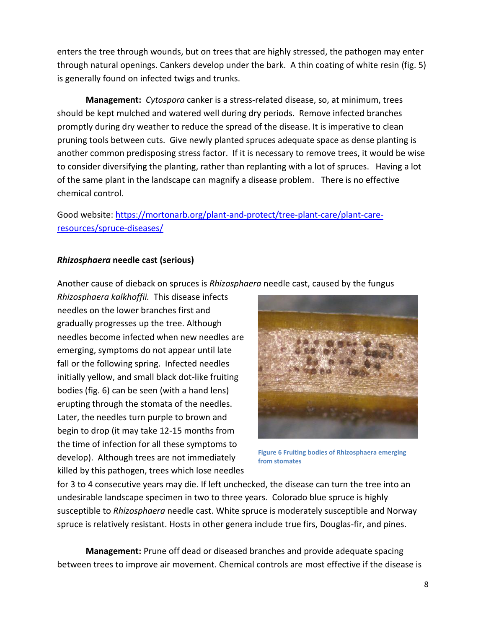enters the tree through wounds, but on trees that are highly stressed, the pathogen may enter through natural openings. Cankers develop under the bark. A thin coating of white resin (fig. 5) is generally found on infected twigs and trunks.

**Management:** *Cytospora* canker is a stress-related disease, so, at minimum, trees should be kept mulched and watered well during dry periods. Remove infected branches promptly during dry weather to reduce the spread of the disease. It is imperative to clean pruning tools between cuts. Give newly planted spruces adequate space as dense planting is another common predisposing stress factor. If it is necessary to remove trees, it would be wise to consider diversifying the planting, rather than replanting with a lot of spruces. Having a lot of the same plant in the landscape can magnify a disease problem. There is no effective chemical control.

Good website: [https://mortonarb.org/plant-and-protect/tree-plant-care/plant-care](https://mortonarb.org/plant-and-protect/tree-plant-care/plant-care-resources/spruce-diseases/)[resources/spruce-diseases/](https://mortonarb.org/plant-and-protect/tree-plant-care/plant-care-resources/spruce-diseases/)

#### *Rhizosphaera* **needle cast (serious)**

Another cause of dieback on spruces is *Rhizosphaera* needle cast, caused by the fungus

*Rhizosphaera kalkhoffii.* This disease infects needles on the lower branches first and gradually progresses up the tree. Although needles become infected when new needles are emerging, symptoms do not appear until late fall or the following spring. Infected needles initially yellow, and small black dot-like fruiting bodies (fig. 6) can be seen (with a hand lens) erupting through the stomata of the needles. Later, the needles turn purple to brown and begin to drop (it may take 12-15 months from the time of infection for all these symptoms to develop). Although trees are not immediately killed by this pathogen, trees which lose needles



**Figure 6 Fruiting bodies of Rhizosphaera emerging from stomates**

for 3 to 4 consecutive years may die. If left unchecked, the disease can turn the tree into an undesirable landscape specimen in two to three years. Colorado blue spruce is highly susceptible to *Rhizosphaera* needle cast. White spruce is moderately susceptible and Norway spruce is relatively resistant. Hosts in other genera include true firs, Douglas-fir, and pines.

**Management:** Prune off dead or diseased branches and provide adequate spacing between trees to improve air movement. Chemical controls are most effective if the disease is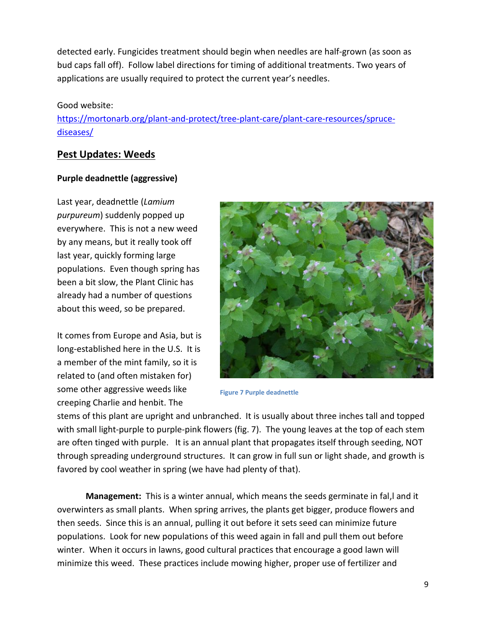detected early. Fungicides treatment should begin when needles are half-grown (as soon as bud caps fall off). Follow label directions for timing of additional treatments. Two years of applications are usually required to protect the current year's needles.

#### Good website:

[https://mortonarb.org/plant-and-protect/tree-plant-care/plant-care-resources/spruce](https://mortonarb.org/plant-and-protect/tree-plant-care/plant-care-resources/spruce-diseases/)[diseases/](https://mortonarb.org/plant-and-protect/tree-plant-care/plant-care-resources/spruce-diseases/)

# **Pest Updates: Weeds**

### **Purple deadnettle (aggressive)**

Last year, deadnettle (*Lamium purpureum*) suddenly popped up everywhere. This is not a new weed by any means, but it really took off last year, quickly forming large populations. Even though spring has been a bit slow, the Plant Clinic has already had a number of questions about this weed, so be prepared.

It comes from Europe and Asia, but is long-established here in the U.S. It is a member of the mint family, so it is related to (and often mistaken for) some other aggressive weeds like creeping Charlie and henbit. The



**Figure 7 Purple deadnettle**

stems of this plant are upright and unbranched. It is usually about three inches tall and topped with small light-purple to purple-pink flowers (fig. 7). The young leaves at the top of each stem are often tinged with purple. It is an annual plant that propagates itself through seeding, NOT through spreading underground structures. It can grow in full sun or light shade, and growth is favored by cool weather in spring (we have had plenty of that).

**Management:** This is a winter annual, which means the seeds germinate in fal,l and it overwinters as small plants. When spring arrives, the plants get bigger, produce flowers and then seeds. Since this is an annual, pulling it out before it sets seed can minimize future populations. Look for new populations of this weed again in fall and pull them out before winter. When it occurs in lawns, good cultural practices that encourage a good lawn will minimize this weed. These practices include mowing higher, proper use of fertilizer and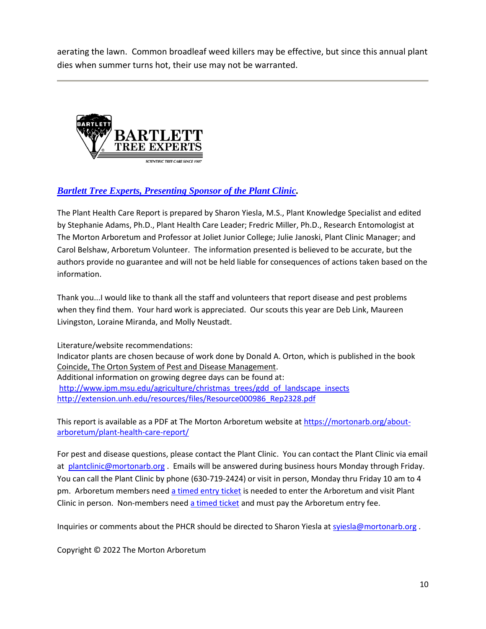aerating the lawn. Common broadleaf weed killers may be effective, but since this annual plant dies when summer turns hot, their use may not be warranted.



## *[Bartlett Tree Experts, Presenting Sponsor of the Plant Clinic.](https://www.bartlett.com/)*

The Plant Health Care Report is prepared by Sharon Yiesla, M.S., Plant Knowledge Specialist and edited by Stephanie Adams, Ph.D., Plant Health Care Leader; Fredric Miller, Ph.D., Research Entomologist at The Morton Arboretum and Professor at Joliet Junior College; Julie Janoski, Plant Clinic Manager; and Carol Belshaw, Arboretum Volunteer. The information presented is believed to be accurate, but the authors provide no guarantee and will not be held liable for consequences of actions taken based on the information.

Thank you...I would like to thank all the staff and volunteers that report disease and pest problems when they find them. Your hard work is appreciated. Our scouts this year are Deb Link, Maureen Livingston, Loraine Miranda, and Molly Neustadt.

Literature/website recommendations: Indicator plants are chosen because of work done by Donald A. Orton, which is published in the book Coincide, The Orton System of Pest and Disease Management. Additional information on growing degree days can be found at: [http://www.ipm.msu.edu/agriculture/christmas\\_trees/gdd\\_of\\_landscape\\_insects](http://www.ipm.msu.edu/agriculture/christmas_trees/gdd_of_landscape_insects) [http://extension.unh.edu/resources/files/Resource000986\\_Rep2328.pdf](http://extension.unh.edu/resources/files/Resource000986_Rep2328.pdf)

This report is available as a PDF at The Morton Arboretum website a[t https://mortonarb.org/about](https://mortonarb.org/about-arboretum/plant-health-care-report/)[arboretum/plant-health-care-report/](https://mortonarb.org/about-arboretum/plant-health-care-report/)

For pest and disease questions, please contact the Plant Clinic. You can contact the Plant Clinic via email at [plantclinic@mortonarb.org](mailto:plantclinic@mortonarb.org). Emails will be answered during business hours Monday through Friday. You can call the Plant Clinic by phone (630-719-2424) or visit in person, Monday thru Friday 10 am to 4 pm. Arboretum members need [a timed entry ticket](https://mortonarb.org/visit-the-arboretum) is needed to enter the Arboretum and visit Plant Clinic in person. Non-members need [a timed ticket](https://mortonarb.org/visit-the-arboretum) and must pay the Arboretum entry fee.

Inquiries or comments about the PHCR should be directed to Sharon Yiesla a[t syiesla@mortonarb.org](mailto:syiesla@mortonarb.org).

Copyright © 2022 The Morton Arboretum